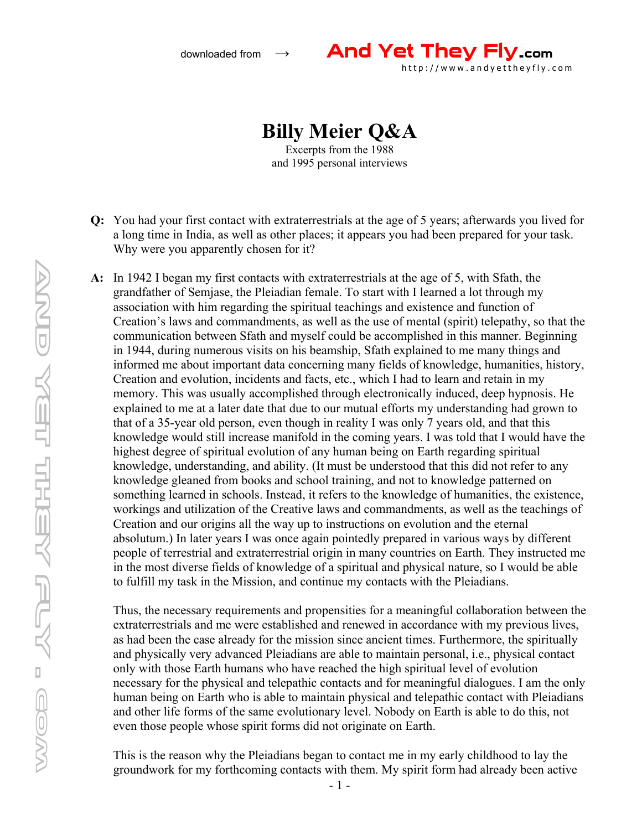

## **Billy Meier Q&A**

Excerpts from the 1988 and 1995 personal interviews

- **Q:** You had your first contact with extraterrestrials at the age of 5 years; afterwards you lived for a long time in India, as well as other places; it appears you had been prepared for your task. Why were you apparently chosen for it?
- **A:** In 1942 I began my first contacts with extraterrestrials at the age of 5, with Sfath, the grandfather of Semjase, the Pleiadian female. To start with I learned a lot through my association with him regarding the spiritual teachings and existence and function of Creation's laws and commandments, as well as the use of mental (spirit) telepathy, so that the communication between Sfath and myself could be accomplished in this manner. Beginning in 1944, during numerous visits on his beamship, Sfath explained to me many things and informed me about important data concerning many fields of knowledge, humanities, history, Creation and evolution, incidents and facts, etc., which I had to learn and retain in my memory. This was usually accomplished through electronically induced, deep hypnosis. He explained to me at a later date that due to our mutual efforts my understanding had grown to that of a 35-year old person, even though in reality I was only 7 years old, and that this knowledge would still increase manifold in the coming years. I was told that I would have the highest degree of spiritual evolution of any human being on Earth regarding spiritual knowledge, understanding, and ability. (It must be understood that this did not refer to any knowledge gleaned from books and school training, and not to knowledge patterned on something learned in schools. Instead, it refers to the knowledge of humanities, the existence, workings and utilization of the Creative laws and commandments, as well as the teachings of Creation and our origins all the way up to instructions on evolution and the eternal absolutum.) In later years I was once again pointedly prepared in various ways by different people of terrestrial and extraterrestrial origin in many countries on Earth. They instructed me in the most diverse fields of knowledge of a spiritual and physical nature, so I would be able to fulfill my task in the Mission, and continue my contacts with the Pleiadians.

Thus, the necessary requirements and propensities for a meaningful collaboration between the extraterrestrials and me were established and renewed in accordance with my previous lives, as had been the case already for the mission since ancient times. Furthermore, the spiritually and physically very advanced Pleiadians are able to maintain personal, i.e., physical contact only with those Earth humans who have reached the high spiritual level of evolution necessary for the physical and telepathic contacts and for meaningful dialogues. I am the only human being on Earth who is able to maintain physical and telepathic contact with Pleiadians and other life forms of the same evolutionary level. Nobody on Earth is able to do this, not even those people whose spirit forms did not originate on Earth.

This is the reason why the Pleiadians began to contact me in my early childhood to lay the groundwork for my forthcoming contacts with them. My spirit form had already been active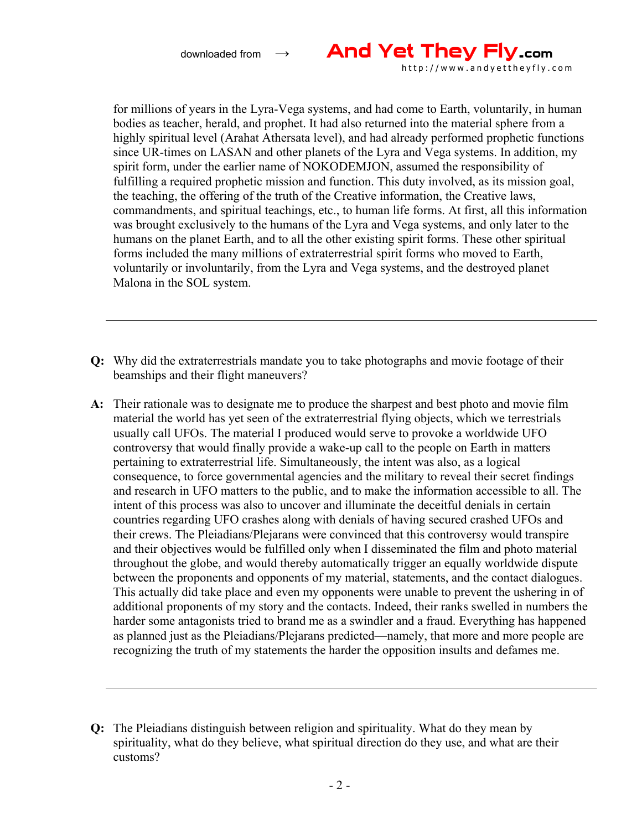

for millions of years in the Lyra-Vega systems, and had come to Earth, voluntarily, in human bodies as teacher, herald, and prophet. It had also returned into the material sphere from a highly spiritual level (Arahat Athersata level), and had already performed prophetic functions since UR-times on LASAN and other planets of the Lyra and Vega systems. In addition, my spirit form, under the earlier name of NOKODEMJON, assumed the responsibility of fulfilling a required prophetic mission and function. This duty involved, as its mission goal, the teaching, the offering of the truth of the Creative information, the Creative laws, commandments, and spiritual teachings, etc., to human life forms. At first, all this information was brought exclusively to the humans of the Lyra and Vega systems, and only later to the humans on the planet Earth, and to all the other existing spirit forms. These other spiritual forms included the many millions of extraterrestrial spirit forms who moved to Earth, voluntarily or involuntarily, from the Lyra and Vega systems, and the destroyed planet Malona in the SOL system.

- **Q:** Why did the extraterrestrials mandate you to take photographs and movie footage of their beamships and their flight maneuvers?
- **A:** Their rationale was to designate me to produce the sharpest and best photo and movie film material the world has yet seen of the extraterrestrial flying objects, which we terrestrials usually call UFOs. The material I produced would serve to provoke a worldwide UFO controversy that would finally provide a wake-up call to the people on Earth in matters pertaining to extraterrestrial life. Simultaneously, the intent was also, as a logical consequence, to force governmental agencies and the military to reveal their secret findings and research in UFO matters to the public, and to make the information accessible to all. The intent of this process was also to uncover and illuminate the deceitful denials in certain countries regarding UFO crashes along with denials of having secured crashed UFOs and their crews. The Pleiadians/Plejarans were convinced that this controversy would transpire and their objectives would be fulfilled only when I disseminated the film and photo material throughout the globe, and would thereby automatically trigger an equally worldwide dispute between the proponents and opponents of my material, statements, and the contact dialogues. This actually did take place and even my opponents were unable to prevent the ushering in of additional proponents of my story and the contacts. Indeed, their ranks swelled in numbers the harder some antagonists tried to brand me as a swindler and a fraud. Everything has happened as planned just as the Pleiadians/Plejarans predicted—namely, that more and more people are recognizing the truth of my statements the harder the opposition insults and defames me.

**Q:** The Pleiadians distinguish between religion and spirituality. What do they mean by spirituality, what do they believe, what spiritual direction do they use, and what are their customs?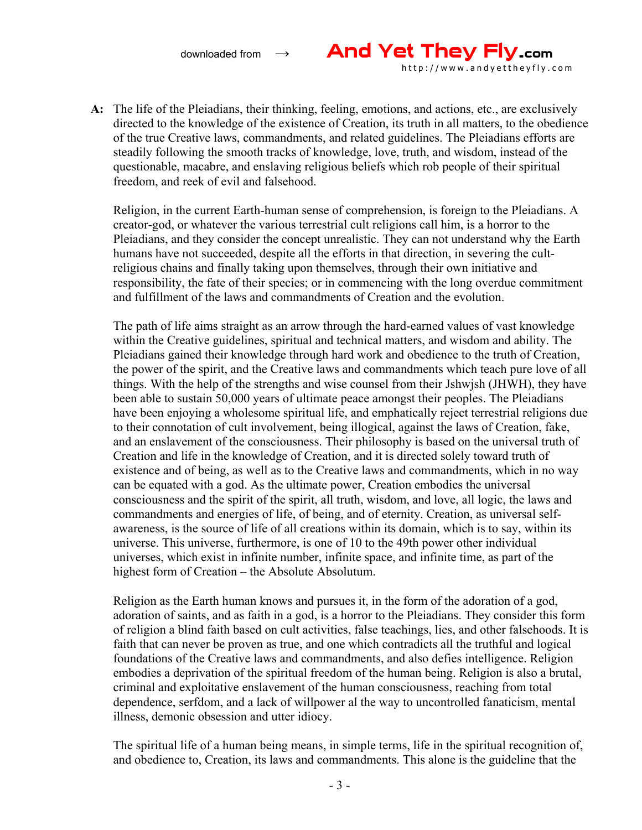

**A:** The life of the Pleiadians, their thinking, feeling, emotions, and actions, etc., are exclusively directed to the knowledge of the existence of Creation, its truth in all matters, to the obedience of the true Creative laws, commandments, and related guidelines. The Pleiadians efforts are steadily following the smooth tracks of knowledge, love, truth, and wisdom, instead of the questionable, macabre, and enslaving religious beliefs which rob people of their spiritual freedom, and reek of evil and falsehood.

Religion, in the current Earth-human sense of comprehension, is foreign to the Pleiadians. A creator-god, or whatever the various terrestrial cult religions call him, is a horror to the Pleiadians, and they consider the concept unrealistic. They can not understand why the Earth humans have not succeeded, despite all the efforts in that direction, in severing the cultreligious chains and finally taking upon themselves, through their own initiative and responsibility, the fate of their species; or in commencing with the long overdue commitment and fulfillment of the laws and commandments of Creation and the evolution.

The path of life aims straight as an arrow through the hard-earned values of vast knowledge within the Creative guidelines, spiritual and technical matters, and wisdom and ability. The Pleiadians gained their knowledge through hard work and obedience to the truth of Creation, the power of the spirit, and the Creative laws and commandments which teach pure love of all things. With the help of the strengths and wise counsel from their Jshwjsh (JHWH), they have been able to sustain 50,000 years of ultimate peace amongst their peoples. The Pleiadians have been enjoying a wholesome spiritual life, and emphatically reject terrestrial religions due to their connotation of cult involvement, being illogical, against the laws of Creation, fake, and an enslavement of the consciousness. Their philosophy is based on the universal truth of Creation and life in the knowledge of Creation, and it is directed solely toward truth of existence and of being, as well as to the Creative laws and commandments, which in no way can be equated with a god. As the ultimate power, Creation embodies the universal consciousness and the spirit of the spirit, all truth, wisdom, and love, all logic, the laws and commandments and energies of life, of being, and of eternity. Creation, as universal selfawareness, is the source of life of all creations within its domain, which is to say, within its universe. This universe, furthermore, is one of 10 to the 49th power other individual universes, which exist in infinite number, infinite space, and infinite time, as part of the highest form of Creation – the Absolute Absolutum.

Religion as the Earth human knows and pursues it, in the form of the adoration of a god, adoration of saints, and as faith in a god, is a horror to the Pleiadians. They consider this form of religion a blind faith based on cult activities, false teachings, lies, and other falsehoods. It is faith that can never be proven as true, and one which contradicts all the truthful and logical foundations of the Creative laws and commandments, and also defies intelligence. Religion embodies a deprivation of the spiritual freedom of the human being. Religion is also a brutal, criminal and exploitative enslavement of the human consciousness, reaching from total dependence, serfdom, and a lack of willpower al the way to uncontrolled fanaticism, mental illness, demonic obsession and utter idiocy.

The spiritual life of a human being means, in simple terms, life in the spiritual recognition of, and obedience to, Creation, its laws and commandments. This alone is the guideline that the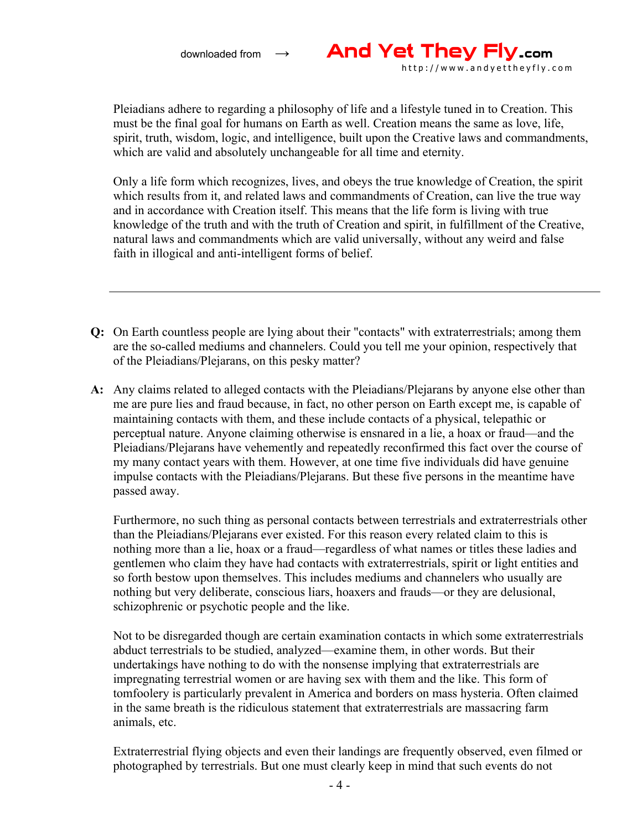

Pleiadians adhere to regarding a philosophy of life and a lifestyle tuned in to Creation. This must be the final goal for humans on Earth as well. Creation means the same as love, life, spirit, truth, wisdom, logic, and intelligence, built upon the Creative laws and commandments, which are valid and absolutely unchangeable for all time and eternity.

Only a life form which recognizes, lives, and obeys the true knowledge of Creation, the spirit which results from it, and related laws and commandments of Creation, can live the true way and in accordance with Creation itself. This means that the life form is living with true knowledge of the truth and with the truth of Creation and spirit, in fulfillment of the Creative, natural laws and commandments which are valid universally, without any weird and false faith in illogical and anti-intelligent forms of belief.

- **Q:** On Earth countless people are lying about their "contacts" with extraterrestrials; among them are the so-called mediums and channelers. Could you tell me your opinion, respectively that of the Pleiadians/Plejarans, on this pesky matter?
- **A:** Any claims related to alleged contacts with the Pleiadians/Plejarans by anyone else other than me are pure lies and fraud because, in fact, no other person on Earth except me, is capable of maintaining contacts with them, and these include contacts of a physical, telepathic or perceptual nature. Anyone claiming otherwise is ensnared in a lie, a hoax or fraud—and the Pleiadians/Plejarans have vehemently and repeatedly reconfirmed this fact over the course of my many contact years with them. However, at one time five individuals did have genuine impulse contacts with the Pleiadians/Plejarans. But these five persons in the meantime have passed away.

Furthermore, no such thing as personal contacts between terrestrials and extraterrestrials other than the Pleiadians/Plejarans ever existed. For this reason every related claim to this is nothing more than a lie, hoax or a fraud—regardless of what names or titles these ladies and gentlemen who claim they have had contacts with extraterrestrials, spirit or light entities and so forth bestow upon themselves. This includes mediums and channelers who usually are nothing but very deliberate, conscious liars, hoaxers and frauds—or they are delusional, schizophrenic or psychotic people and the like.

Not to be disregarded though are certain examination contacts in which some extraterrestrials abduct terrestrials to be studied, analyzed—examine them, in other words. But their undertakings have nothing to do with the nonsense implying that extraterrestrials are impregnating terrestrial women or are having sex with them and the like. This form of tomfoolery is particularly prevalent in America and borders on mass hysteria. Often claimed in the same breath is the ridiculous statement that extraterrestrials are massacring farm animals, etc.

Extraterrestrial flying objects and even their landings are frequently observed, even filmed or photographed by terrestrials. But one must clearly keep in mind that such events do not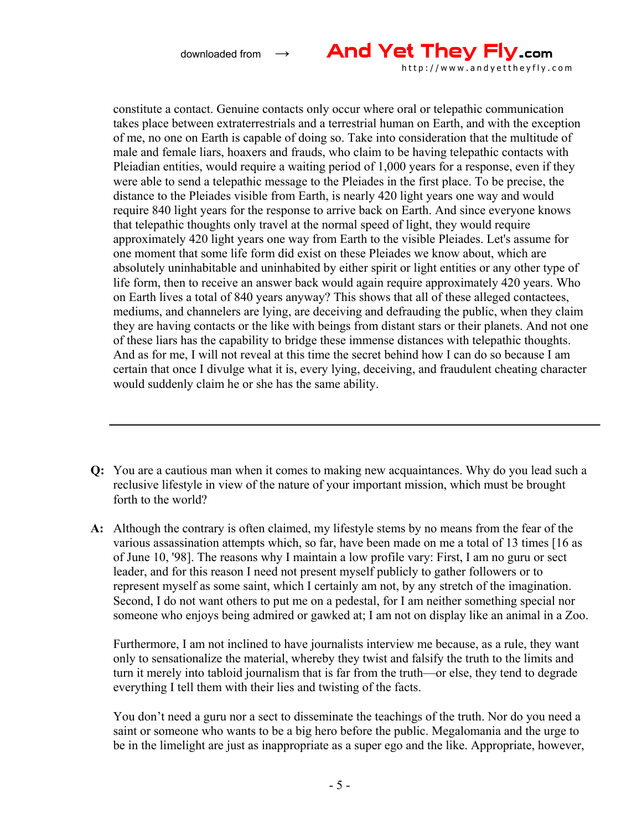

http://www.andyettheyfly.com

constitute a contact. Genuine contacts only occur where oral or telepathic communication takes place between extraterrestrials and a terrestrial human on Earth, and with the exception of me, no one on Earth is capable of doing so. Take into consideration that the multitude of male and female liars, hoaxers and frauds, who claim to be having telepathic contacts with Pleiadian entities, would require a waiting period of 1,000 years for a response, even if they were able to send a telepathic message to the Pleiades in the first place. To be precise, the distance to the Pleiades visible from Earth, is nearly 420 light years one way and would require 840 light years for the response to arrive back on Earth. And since everyone knows that telepathic thoughts only travel at the normal speed of light, they would require approximately 420 light years one way from Earth to the visible Pleiades. Let's assume for one moment that some life form did exist on these Pleiades we know about, which are absolutely uninhabitable and uninhabited by either spirit or light entities or any other type of life form, then to receive an answer back would again require approximately 420 years. Who on Earth lives a total of 840 years anyway? This shows that all of these alleged contactees, mediums, and channelers are lying, are deceiving and defrauding the public, when they claim they are having contacts or the like with beings from distant stars or their planets. And not one of these liars has the capability to bridge these immense distances with telepathic thoughts. And as for me, I will not reveal at this time the secret behind how I can do so because I am certain that once I divulge what it is, every lying, deceiving, and fraudulent cheating character would suddenly claim he or she has the same ability.

- **Q:** You are a cautious man when it comes to making new acquaintances. Why do you lead such a reclusive lifestyle in view of the nature of your important mission, which must be brought forth to the world?
- **A:** Although the contrary is often claimed, my lifestyle stems by no means from the fear of the various assassination attempts which, so far, have been made on me a total of 13 times [16 as of June 10, '98]. The reasons why I maintain a low profile vary: First, I am no guru or sect leader, and for this reason I need not present myself publicly to gather followers or to represent myself as some saint, which I certainly am not, by any stretch of the imagination. Second, I do not want others to put me on a pedestal, for I am neither something special nor someone who enjoys being admired or gawked at; I am not on display like an animal in a Zoo.

Furthermore, I am not inclined to have journalists interview me because, as a rule, they want only to sensationalize the material, whereby they twist and falsify the truth to the limits and turn it merely into tabloid journalism that is far from the truth—or else, they tend to degrade everything I tell them with their lies and twisting of the facts.

You don't need a guru nor a sect to disseminate the teachings of the truth. Nor do you need a saint or someone who wants to be a big hero before the public. Megalomania and the urge to be in the limelight are just as inappropriate as a super ego and the like. Appropriate, however,